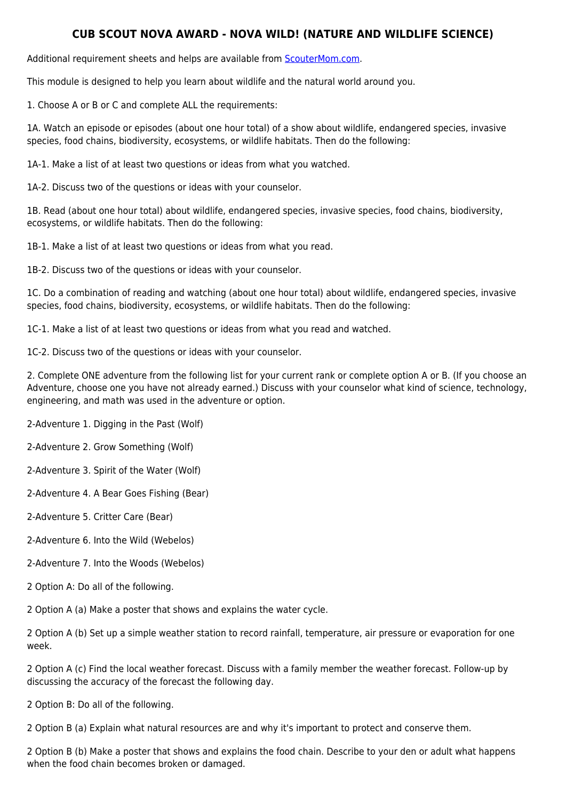## **CUB SCOUT NOVA AWARD - NOVA WILD! (NATURE AND WILDLIFE SCIENCE)**

Additional requirement sheets and helps are available from [ScouterMom.com](http://scoutermom.com).

This module is designed to help you learn about wildlife and the natural world around you.

1. Choose A or B or C and complete ALL the requirements:

1A. Watch an episode or episodes (about one hour total) of a show about wildlife, endangered species, invasive species, food chains, biodiversity, ecosystems, or wildlife habitats. Then do the following:

1A-1. Make a list of at least two questions or ideas from what you watched.

1A-2. Discuss two of the questions or ideas with your counselor.

1B. Read (about one hour total) about wildlife, endangered species, invasive species, food chains, biodiversity, ecosystems, or wildlife habitats. Then do the following:

1B-1. Make a list of at least two questions or ideas from what you read.

1B-2. Discuss two of the questions or ideas with your counselor.

1C. Do a combination of reading and watching (about one hour total) about wildlife, endangered species, invasive species, food chains, biodiversity, ecosystems, or wildlife habitats. Then do the following:

1C-1. Make a list of at least two questions or ideas from what you read and watched.

1C-2. Discuss two of the questions or ideas with your counselor.

2. Complete ONE adventure from the following list for your current rank or complete option A or B. (If you choose an Adventure, choose one you have not already earned.) Discuss with your counselor what kind of science, technology, engineering, and math was used in the adventure or option.

2-Adventure 1. Digging in the Past (Wolf)

2-Adventure 2. Grow Something (Wolf)

2-Adventure 3. Spirit of the Water (Wolf)

2-Adventure 4. A Bear Goes Fishing (Bear)

2-Adventure 5. Critter Care (Bear)

2-Adventure 6. Into the Wild (Webelos)

- 2-Adventure 7. Into the Woods (Webelos)
- 2 Option A: Do all of the following.

2 Option A (a) Make a poster that shows and explains the water cycle.

2 Option A (b) Set up a simple weather station to record rainfall, temperature, air pressure or evaporation for one week.

2 Option A (c) Find the local weather forecast. Discuss with a family member the weather forecast. Follow-up by discussing the accuracy of the forecast the following day.

2 Option B: Do all of the following.

2 Option B (a) Explain what natural resources are and why it's important to protect and conserve them.

2 Option B (b) Make a poster that shows and explains the food chain. Describe to your den or adult what happens when the food chain becomes broken or damaged.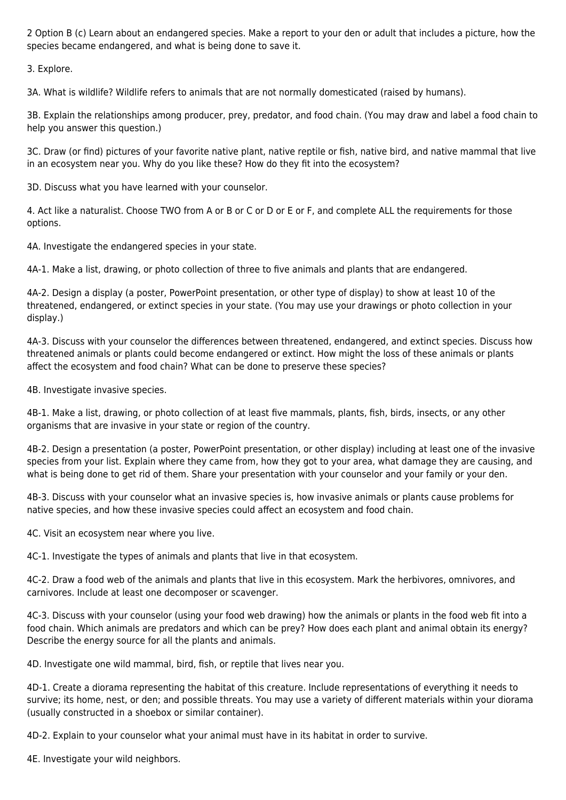2 Option B (c) Learn about an endangered species. Make a report to your den or adult that includes a picture, how the species became endangered, and what is being done to save it.

3. Explore.

3A. What is wildlife? Wildlife refers to animals that are not normally domesticated (raised by humans).

3B. Explain the relationships among producer, prey, predator, and food chain. (You may draw and label a food chain to help you answer this question.)

3C. Draw (or find) pictures of your favorite native plant, native reptile or fish, native bird, and native mammal that live in an ecosystem near you. Why do you like these? How do they fit into the ecosystem?

3D. Discuss what you have learned with your counselor.

4. Act like a naturalist. Choose TWO from A or B or C or D or E or F, and complete ALL the requirements for those options.

4A. Investigate the endangered species in your state.

4A-1. Make a list, drawing, or photo collection of three to five animals and plants that are endangered.

4A-2. Design a display (a poster, PowerPoint presentation, or other type of display) to show at least 10 of the threatened, endangered, or extinct species in your state. (You may use your drawings or photo collection in your display.)

4A-3. Discuss with your counselor the differences between threatened, endangered, and extinct species. Discuss how threatened animals or plants could become endangered or extinct. How might the loss of these animals or plants affect the ecosystem and food chain? What can be done to preserve these species?

4B. Investigate invasive species.

4B-1. Make a list, drawing, or photo collection of at least five mammals, plants, fish, birds, insects, or any other organisms that are invasive in your state or region of the country.

4B-2. Design a presentation (a poster, PowerPoint presentation, or other display) including at least one of the invasive species from your list. Explain where they came from, how they got to your area, what damage they are causing, and what is being done to get rid of them. Share your presentation with your counselor and your family or your den.

4B-3. Discuss with your counselor what an invasive species is, how invasive animals or plants cause problems for native species, and how these invasive species could affect an ecosystem and food chain.

4C. Visit an ecosystem near where you live.

4C-1. Investigate the types of animals and plants that live in that ecosystem.

4C-2. Draw a food web of the animals and plants that live in this ecosystem. Mark the herbivores, omnivores, and carnivores. Include at least one decomposer or scavenger.

4C-3. Discuss with your counselor (using your food web drawing) how the animals or plants in the food web fit into a food chain. Which animals are predators and which can be prey? How does each plant and animal obtain its energy? Describe the energy source for all the plants and animals.

4D. Investigate one wild mammal, bird, fish, or reptile that lives near you.

4D-1. Create a diorama representing the habitat of this creature. Include representations of everything it needs to survive; its home, nest, or den; and possible threats. You may use a variety of different materials within your diorama (usually constructed in a shoebox or similar container).

4D-2. Explain to your counselor what your animal must have in its habitat in order to survive.

4E. Investigate your wild neighbors.